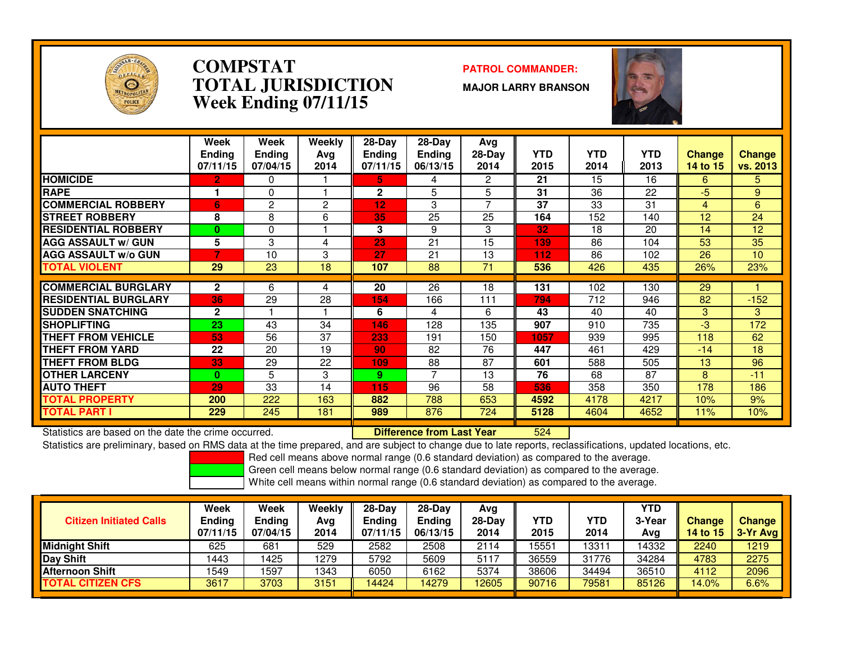

### **COMPSTAT PATROL COMMANDER: TOTAL JURISDICTIONWeek Ending 07/11/15**

**MAJOR LARRY BRANSON**



|                             | Week<br><b>Ending</b><br>07/11/15 | Week<br><b>Ending</b><br>07/04/15 | Weekly<br>Ava<br>2014 | $28-Day$<br><b>Ending</b><br>07/11/15 | $28-Day$<br><b>Ending</b><br>06/13/15 | Avg<br>$28-Day$<br>2014 | <b>YTD</b><br>2015 | <b>YTD</b><br>2014 | <b>YTD</b><br>2013 | <b>Change</b><br>14 to 15 | <b>Change</b><br>vs. 2013 |
|-----------------------------|-----------------------------------|-----------------------------------|-----------------------|---------------------------------------|---------------------------------------|-------------------------|--------------------|--------------------|--------------------|---------------------------|---------------------------|
| <b>HOMICIDE</b>             | 2                                 | 0                                 |                       | 5.                                    | 4                                     | $\overline{2}$          | 21                 | 15                 | 16                 | 6                         | 5.                        |
| <b>RAPE</b>                 |                                   | 0                                 |                       | $\mathbf{2}$                          | 5                                     | 5                       | 31                 | 36                 | 22                 | -5                        | 9                         |
| <b>COMMERCIAL ROBBERY</b>   | 6                                 | 2                                 | 2                     | 12                                    | 3                                     |                         | 37                 | 33                 | 31                 | 4                         | 6                         |
| <b>STREET ROBBERY</b>       | 8                                 | 8                                 | 6                     | 35                                    | 25                                    | 25                      | 164                | 152                | 140                | 12                        | 24                        |
| <b>RESIDENTIAL ROBBERY</b>  | $\mathbf{0}$                      | $\Omega$                          |                       | 3                                     | 9                                     | 3                       | 32                 | 18                 | 20                 | 14                        | 12                        |
| <b>AGG ASSAULT w/ GUN</b>   | 5                                 | 3                                 | 4                     | 23                                    | 21                                    | 15                      | 139                | 86                 | 104                | 53                        | 35                        |
| <b>AGG ASSAULT w/o GUN</b>  |                                   | 10                                | 3                     | 27                                    | 21                                    | 13                      | 112                | 86                 | 102                | 26                        | 10                        |
| <b>TOTAL VIOLENT</b>        | 29                                | 23                                | 18                    | 107                                   | 88                                    | 71                      | 536                | 426                | 435                | 26%                       | 23%                       |
|                             |                                   |                                   |                       |                                       |                                       |                         |                    |                    |                    |                           |                           |
| <b>COMMERCIAL BURGLARY</b>  | $\mathbf{2}$                      | 6                                 | 4                     | 20                                    | 26                                    | 18                      | 131                | 102                | 130                | 29                        |                           |
| <b>RESIDENTIAL BURGLARY</b> | 36                                | 29                                | 28                    | 154                                   | 166                                   | 111                     | 794                | 712                | 946                | 82                        | $-152$                    |
| <b>SUDDEN SNATCHING</b>     | $\overline{2}$                    |                                   |                       | 6                                     | 4                                     | 6                       | 43                 | 40                 | 40                 | 3                         | 3                         |
| <b>SHOPLIFTING</b>          | 23                                | 43                                | 34                    | 146                                   | 128                                   | 135                     | 907                | 910                | 735                | $-3$                      | 172                       |
| THEFT FROM VEHICLE          | 53                                | 56                                | 37                    | 233                                   | 191                                   | 150                     | 1057               | 939                | 995                | 118                       | 62                        |
| <b>THEFT FROM YARD</b>      | 22                                | 20                                | 19                    | 90                                    | 82                                    | 76                      | 447                | 461                | 429                | $-14$                     | 18                        |
| <b>THEFT FROM BLDG</b>      | 33                                | 29                                | 22                    | 109                                   | 88                                    | 87                      | 601                | 588                | 505                | 13                        | 96                        |
| <b>OTHER LARCENY</b>        | $\mathbf{0}$                      | 5.                                | 3                     | 9                                     | 7                                     | 13                      | 76                 | 68                 | 87                 | 8                         | $-11$                     |
| <b>AUTO THEFT</b>           | 29                                | 33                                | 14                    | 115                                   | 96                                    | 58                      | 536                | 358                | 350                | 178                       | 186                       |
| TOTAL PROPERTY              | 200                               | 222                               | 163                   | 882                                   | 788                                   | 653                     | 4592               | 4178               | 4217               | 10%                       | 9%                        |
| TOTAL PART I                | 229                               | 245                               | 181                   | 989                                   | 876                                   | 724                     | 5128               | 4604               | 4652               | 11%                       | 10%                       |

Statistics are based on the date the crime occurred. **Difference from Last Year** 

<sup>524</sup>

 Statistics are preliminary, based on RMS data at the time prepared, and are subject to change due to late reports, reclassifications, updated locations, etc.Red cell means above normal range (0.6 standard deviation) as compared to the average.

Green cell means below normal range (0.6 standard deviation) as compared to the average.

White cell means within normal range (0.6 standard deviation) as compared to the average.

**Week Week Weekly 28-Day 28-Day Avg YTD**3-Year **Citizen Initiated Calls Ending Ending Avg Ending Ending 28-Day YTD YTD 3-Year Change Change 07/11/15 07/04/15 2014 07/11/15 06/13/15 <sup>2014</sup> <sup>2015</sup> <sup>2014</sup> Avg14 to 15 3-Yr Avg**<br>14332 **2240** 1219 **Midnight Shift** 625 681 529 2582 2508 <sup>2114</sup> 15551 13311 14332 2240 12192275 **Day Shift**1 | 1443 | 1425 | 1279 | 5792 | 5609 | 5117 || 36559 | 31776 | 34284 <mark>| 4783 | 2275</mark> 2096 **Afternoon Shift**t | 1549 | 1597 | 1343 | 6050 | 6162 | 5374 || 38606 | 34494 | 36510 <mark>| 4112 | 2096</mark> <mark>% 6.6%</mark> **TOTAL CITIZEN CFS**<mark>S | 3617 | 3703 | 3151 | 14424 | 14279 | 12605 | 90716 | 79581 | 85126 | 14.0%</mark>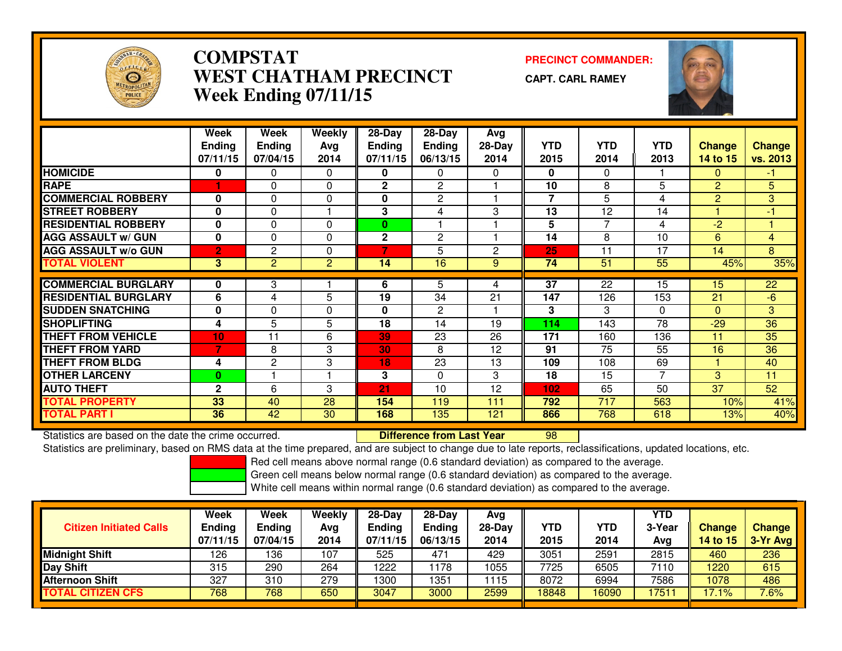

# **COMPSTAT PRECINCT COMMANDER: WEST CHATHAM PRECINCTWeek Ending 07/11/15**

**CAPT. CARL RAMEY**



|                             | Week<br><b>Ending</b><br>07/11/15 | Week<br><b>Ending</b><br>07/04/15 | Weekly<br>Ava<br>2014 | 28-Day<br>Ending<br>07/11/15 | 28-Day<br><b>Ending</b><br>06/13/15 | Avg<br>$28-Day$<br>2014 | <b>YTD</b><br>2015 | <b>YTD</b><br>2014 | <b>YTD</b><br>2013 | <b>Change</b><br>14 to 15 | <b>Change</b><br>vs. 2013 |
|-----------------------------|-----------------------------------|-----------------------------------|-----------------------|------------------------------|-------------------------------------|-------------------------|--------------------|--------------------|--------------------|---------------------------|---------------------------|
| <b>HOMICIDE</b>             | 0                                 | 0                                 | 0                     | 0                            | 0                                   | 0                       | 0                  | $\Omega$           |                    | $\Omega$                  | $-1$                      |
| <b>RAPE</b>                 |                                   | 0                                 | 0                     | 2                            | 2                                   |                         | 10                 | 8                  | 5                  | $\overline{2}$            | 5                         |
| <b>COMMERCIAL ROBBERY</b>   | 0                                 | 0                                 | 0                     | 0                            | $\mathbf{2}$                        |                         | $\overline{7}$     | 5                  | 4                  | $\overline{2}$            | 3                         |
| <b>STREET ROBBERY</b>       | 0                                 | 0                                 |                       | 3                            | 4                                   | 3                       | 13                 | 12                 | 14                 |                           | $-1$                      |
| <b>RESIDENTIAL ROBBERY</b>  | 0                                 | 0                                 | 0                     | 0                            |                                     |                         | 5                  |                    | 4                  | $-2$                      |                           |
| <b>AGG ASSAULT w/ GUN</b>   | 0                                 | 0                                 | $\Omega$              | 2                            | $\overline{2}$                      |                         | 14                 | 8                  | 10                 | 6                         | 4                         |
| <b>AGG ASSAULT w/o GUN</b>  | $\overline{2}$                    | 2                                 | 0                     | 7                            | 5                                   | $\mathbf{2}$            | 25                 | 11                 | 17                 | 14                        | 8                         |
| <b>TOTAL VIOLENT</b>        | 3                                 | $\overline{2}$                    | $\overline{2}$        | 14                           | 16                                  | 9                       | 74                 | 51                 | 55                 | 45%                       | 35%                       |
|                             |                                   |                                   |                       |                              |                                     |                         |                    |                    |                    |                           |                           |
| <b>COMMERCIAL BURGLARY</b>  | 0                                 | 3                                 |                       | 6                            | 5                                   | 4                       | $\overline{37}$    | 22                 | 15                 | 15                        | 22                        |
| <b>RESIDENTIAL BURGLARY</b> | 6                                 | 4                                 | 5                     | 19                           | 34                                  | 21                      | 147                | 126                | 153                | 21                        | $-6$                      |
| <b>SUDDEN SNATCHING</b>     | 0                                 | 0                                 | 0                     | 0                            | $\overline{2}$                      |                         | 3                  | 3                  | $\Omega$           | $\Omega$                  | 3                         |
| <b>SHOPLIFTING</b>          | 4                                 | 5                                 | 5                     | 18                           | 14                                  | 19                      | 114                | 143                | 78                 | $-29$                     | 36                        |
| <b>THEFT FROM VEHICLE</b>   | 10                                | 11                                | 6                     | 39                           | 23                                  | 26                      | 171                | 160                | 136                | 11                        | 35                        |
| <b>THEFT FROM YARD</b>      | 7                                 | 8                                 | 3                     | 30                           | 8                                   | 12                      | 91                 | 75                 | 55                 | 16                        | 36                        |
| <b>THEFT FROM BLDG</b>      | 4                                 | 2                                 | 3                     | 18                           | 23                                  | 13                      | 109                | 108                | 69                 |                           | 40                        |
| <b>OTHER LARCENY</b>        | 0                                 |                                   |                       | 3                            | $\Omega$                            | 3                       | 18                 | 15                 | 7                  | 3                         | 11                        |
| <b>AUTO THEFT</b>           | $\mathbf{2}$                      | 6                                 | 3                     | 21                           | 10                                  | 12                      | 102                | 65                 | 50                 | 37                        | 52                        |
| <b>TOTAL PROPERTY</b>       | 33                                | 40                                | 28                    | 154                          | 119                                 | 111                     | 792                | 717                | 563                | 10%                       | 41%                       |
| <b>TOTAL PART I</b>         | 36                                | 42                                | 30                    | 168                          | 135                                 | 121                     | 866                | 768                | 618                | 13%                       | 40%                       |

Statistics are based on the date the crime occurred. **Difference from Last Year** 

Statistics are based on the date the crime occurred.<br>Statistics are preliminary, based on RMS data at the time prepared, and are subject to change due to late reports, reclassifications, updated locations, etc.

Red cell means above normal range (0.6 standard deviation) as compared to the average.

Green cell means below normal range (0.6 standard deviation) as compared to the average.

| <b>Citizen Initiated Calls</b> | Week<br><b>Ending</b><br>07/11/15 | <b>Week</b><br><b>Ending</b><br>07/04/15 | Weekly<br>Avg<br>2014 | $28-Dav$<br><b>Ending</b><br>07/11/15 | $28-Dav$<br>Ending<br>06/13/15 | Ava<br>$28-Day$<br>2014 | YTD<br>2015 | <b>YTD</b><br>2014 | YTD<br>3-Year<br>Avg | <b>Change</b><br>14 to 15 | Change<br>3-Yr Avg |
|--------------------------------|-----------------------------------|------------------------------------------|-----------------------|---------------------------------------|--------------------------------|-------------------------|-------------|--------------------|----------------------|---------------------------|--------------------|
| <b>Midnight Shift</b>          | 126                               | 136                                      | 107                   | 525                                   | 471                            | 429                     | 3051        | 2591               | 2815                 | 460                       | 236                |
| <b>Day Shift</b>               | 315                               | 290                                      | 264                   | 1222                                  | 178                            | 1055                    | 7725        | 6505               | 7110                 | 1220                      | 615                |
| <b>Afternoon Shift</b>         | 327                               | 310                                      | 279                   | 1300                                  | 351                            | 1115                    | 8072        | 6994               | 7586                 | 1078                      | 486                |
| <b>TOTAL CITIZEN CFS</b>       | 768                               | 768                                      | 650                   | 3047                                  | 3000                           | 2599                    | 18848       | 16090              | 1751                 | 17.1%                     | 7.6%               |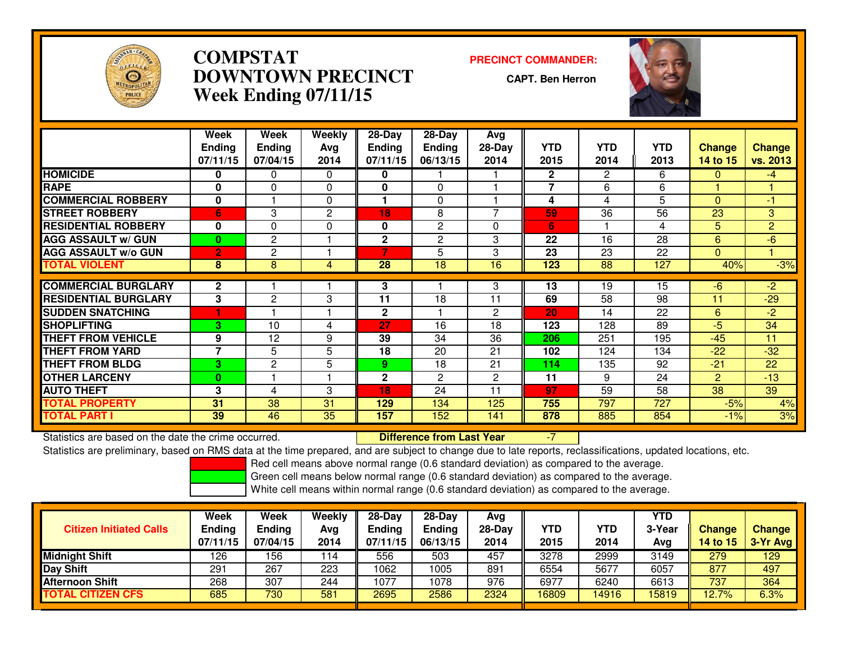

# **COMPSTAT PRECINCT COMMANDER: DOWNTOWN PRECINCTWeek Ending 07/11/15**

**CAPT. Ben Herron**



|                             | <b>Week</b>              | Week          | Weekly      | $28-Day$        | $28 - Day$            | Avg      |              |                       |            |                 |                |
|-----------------------------|--------------------------|---------------|-------------|-----------------|-----------------------|----------|--------------|-----------------------|------------|-----------------|----------------|
|                             | <b>Ending</b>            | <b>Ending</b> | Avg         | Ending          | Ending                | $28-Day$ | <b>YTD</b>   | <b>YTD</b>            | <b>YTD</b> | <b>Change</b>   | <b>Change</b>  |
|                             | 07/11/15                 | 07/04/15      | 2014        | 07/11/15        | 06/13/15              | 2014     | 2015         | 2014                  | 2013       | <b>14 to 15</b> | vs. 2013       |
| <b>HOMICIDE</b>             | 0                        | 0             | 0           | 0               |                       |          | $\mathbf{2}$ | $\mathbf{2}^{\prime}$ | 6          | $\Omega$        | $-4$           |
| <b>RAPE</b>                 | $\bf{0}$                 | $\Omega$      | $\Omega$    | $\mathbf{0}$    | $\Omega$              |          | 7            | 6                     | 6          |                 |                |
| <b>COMMERCIAL ROBBERY</b>   | $\bf{0}$                 |               | $\mathbf 0$ |                 | $\Omega$              |          | 4            | 4                     | 5          | $\Omega$        | $-1$           |
| <b>STREET ROBBERY</b>       | 6                        | 3             | 2           | 18              | 8                     | ⇁        | 59           | 36                    | 56         | 23              | 3              |
| <b>RESIDENTIAL ROBBERY</b>  | $\bf{0}$                 | $\Omega$      | $\mathbf 0$ | 0               | $\overline{c}$        | 0        | 6            |                       | 4          | 5               | $\overline{2}$ |
| <b>AGG ASSAULT w/ GUN</b>   | $\bf{0}$                 | $\mathbf{2}$  |             | $\mathbf{2}$    | $\mathbf{2}^{\prime}$ | 3        | 22           | 16                    | 28         | 6               | $-6$           |
| <b>AGG ASSAULT w/o GUN</b>  | $\overline{2}$           | $\mathbf{2}$  |             | 7               | 5                     | 3        | 23           | 23                    | 22         | $\Omega$        |                |
| <b>TOTAL VIOLENT</b>        | 8                        | 8             | 4           | $\overline{28}$ | $\overline{18}$       | 16       | 123          | $\overline{88}$       | 127        | 40%             | $-3%$          |
|                             |                          |               |             |                 |                       |          |              |                       |            |                 |                |
| <b>COMMERCIAL BURGLARY</b>  | $\mathbf{2}$             |               |             | 3               |                       | 3        | 13           | 19                    | 15         | -6              | $-2$           |
| <b>RESIDENTIAL BURGLARY</b> | 3                        | 2             | 3           | 11              | 18                    | 11       | 69           | 58                    | 98         | 11              | $-29$          |
| <b>SUDDEN SNATCHING</b>     |                          |               |             | $\mathbf{2}$    |                       | 2        | 20           | 14                    | 22         | 6               | $-2$           |
| <b>SHOPLIFTING</b>          | 3                        | 10            | 4           | 27              | 16                    | 18       | 123          | 128                   | 89         | $-5$            | 34             |
| <b>THEFT FROM VEHICLE</b>   | 9                        | 12            | 9           | 39              | 34                    | 36       | 206          | 251                   | 195        | $-45$           | 11             |
| <b>THEFT FROM YARD</b>      | $\overline{\phantom{a}}$ | 5             | 5           | 18              | 20                    | 21       | 102          | 124                   | 134        | $-22$           | $-32$          |
| <b>THEFT FROM BLDG</b>      | 3                        | $\mathbf{2}$  | 5           | 9               | 18                    | 21       | 114          | 135                   | 92         | $-21$           | 22             |
| <b>OTHER LARCENY</b>        | $\bf{0}$                 |               |             | $\mathbf 2$     | $\overline{c}$        | 2        | 11           | 9                     | 24         | 2               | $-13$          |
| <b>AUTO THEFT</b>           | 3                        | 4             | 3           | 18              | 24                    | 11       | 97           | 59                    | 58         | 38              | 39             |
| <b>TOTAL PROPERTY</b>       | 31                       | 38            | 31          | 129             | 134                   | 125      | 755          | 797                   | 727        | $-5%$           | 4%             |
| <b>TOTAL PART I</b>         | 39                       | 46            | 35          | 157             | 152                   | 141      | 878          | 885                   | 854        | $-1%$           | 3%             |

Statistics are based on the date the crime occurred. **Difference from Last Year** 

Statistics are based on the date the crime occurred. **Extence to the Unifference from Last Year Fight** 17 --7 I<br>Statistics are preliminary, based on RMS data at the time prepared, and are subject to change due to late repo

Red cell means above normal range (0.6 standard deviation) as compared to the average.

Green cell means below normal range (0.6 standard deviation) as compared to the average.

| <b>Citizen Initiated Calls</b> | Week<br><b>Ending</b><br>07/11/15 | Week<br><b>Ending</b><br>07/04/15 | Weekly<br>Avg<br>2014 | 28-Day<br>Ending<br>07/11/15 | 28-Dav<br><b>Ending</b><br>06/13/15 | Avg<br>$28-Day$<br>2014 | <b>YTD</b><br>2015 | YTD<br>2014 | YTD<br>3-Year<br>Avg | <b>Change</b><br><b>14 to 15</b> | <b>Change</b><br>$3-Yr$ Avg |
|--------------------------------|-----------------------------------|-----------------------------------|-----------------------|------------------------------|-------------------------------------|-------------------------|--------------------|-------------|----------------------|----------------------------------|-----------------------------|
| <b>Midnight Shift</b>          | 126                               | 156                               | 114                   | 556                          | 503                                 | 457                     | 3278               | 2999        | 3149                 | 279                              | 129                         |
| Day Shift                      | 291                               | 267                               | 223                   | 1062                         | 1005                                | 891                     | 6554               | 5677        | 6057                 | 877                              | 497                         |
| <b>Afternoon Shift</b>         | 268                               | 307                               | 244                   | 1077                         | 1078                                | 976                     | 6977               | 6240        | 6613                 | 737                              | 364                         |
| <b>TOTAL CITIZEN CFS</b>       | 685                               | 730                               | 581                   | 2695                         | 2586                                | 2324                    | 16809              | 14916       | 15819                | 12.7%                            | 6.3%                        |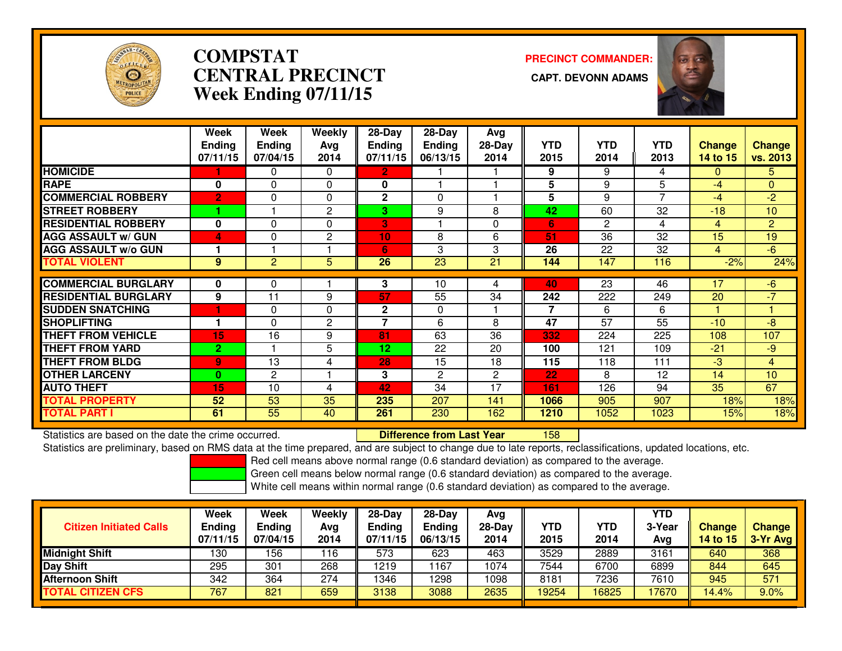

# **COMPSTATCENTRAL PRECINCT Week Ending 07/11/15**

**PRECINCT COMMANDER:**



|                             | Week<br><b>Ending</b><br>07/11/15 | Week<br><b>Ending</b><br>07/04/15 | Weekly<br>Ava<br>2014 | 28-Day<br><b>Ending</b><br>07/11/15 | 28-Day<br><b>Ending</b><br>06/13/15 | Avg<br>28-Day<br>2014 | <b>YTD</b><br>2015 | <b>YTD</b><br>2014 | <b>YTD</b><br>2013 | <b>Change</b><br>14 to 15 | Change<br>vs. 2013 |
|-----------------------------|-----------------------------------|-----------------------------------|-----------------------|-------------------------------------|-------------------------------------|-----------------------|--------------------|--------------------|--------------------|---------------------------|--------------------|
| <b>HOMICIDE</b>             |                                   | 0                                 | 0                     | $\overline{2}$                      |                                     |                       | 9                  | 9                  | 4                  | $\Omega$                  | 5.                 |
| <b>RAPE</b>                 | 0                                 | 0                                 | $\Omega$              | 0                                   |                                     |                       | 5                  | 9                  | 5                  | -4                        | $\Omega$           |
| <b>COMMERCIAL ROBBERY</b>   | $\overline{2}$                    | 0                                 | $\Omega$              | 2                                   | $\Omega$                            |                       | 5                  | 9                  | $\overline{7}$     | $-4$                      | $-2$               |
| <b>STREET ROBBERY</b>       |                                   |                                   | 2                     | 3                                   | 9                                   | 8                     | 42                 | 60                 | 32                 | $-18$                     | 10                 |
| <b>RESIDENTIAL ROBBERY</b>  | 0                                 | 0                                 | $\Omega$              | B                                   |                                     | $\Omega$              | 6                  | $\overline{2}$     | 4                  | 4                         | $\overline{2}$     |
| <b>AGG ASSAULT w/ GUN</b>   | $\overline{\mathbf{A}}$           | 0                                 | 2                     | 10                                  | 8                                   | 6                     | 51                 | 36                 | 32                 | 15                        | 19                 |
| <b>AGG ASSAULT w/o GUN</b>  | 1                                 |                                   |                       | 6                                   | 3                                   | 3                     | 26                 | 22                 | 32                 | 4                         | $-6$               |
| <b>TOTAL VIOLENT</b>        | 9                                 | $\overline{2}$                    | 5                     | 26                                  | $\overline{23}$                     | 21                    | 144                | 147                | 116                | $-2%$                     | 24%                |
| <b>COMMERCIAL BURGLARY</b>  |                                   |                                   |                       |                                     |                                     |                       |                    |                    |                    |                           |                    |
|                             | 0                                 | 0                                 |                       | 3                                   | 10                                  | 4                     | 40                 | 23                 | 46                 | 17                        | -6                 |
| <b>RESIDENTIAL BURGLARY</b> | 9                                 | 11                                | 9                     | 57                                  | 55                                  | 34                    | 242                | 222                | 249                | 20                        | $-7$               |
| <b>SUDDEN SNATCHING</b>     | 1                                 | 0                                 | $\Omega$              | $\mathbf 2$                         | $\Omega$                            |                       | $\overline{7}$     | 6                  | 6                  |                           |                    |
| <b>SHOPLIFTING</b>          | 1                                 | 0                                 | 2                     | 7                                   | 6                                   | 8                     | 47                 | 57                 | 55                 | $-10$                     | -8                 |
| <b>THEFT FROM VEHICLE</b>   | 15                                | 16                                | 9                     | 81                                  | 63                                  | 36                    | 332                | 224                | 225                | 108                       | 107                |
| <b>THEFT FROM YARD</b>      | $\overline{2}$                    |                                   | 5                     | 12                                  | 22                                  | 20                    | 100                | 121                | 109                | $-21$                     | $-9$               |
| <b>THEFT FROM BLDG</b>      | 9                                 | 13                                | 4                     | 28                                  | 15                                  | 18                    | 115                | 118                | 111                | $-3$                      | $\overline{4}$     |
| <b>OTHER LARCENY</b>        | $\bf{0}$                          | $\mathbf{2}$                      |                       | 3                                   | $\overline{2}$                      | $\overline{2}$        | 22                 | 8                  | 12                 | 14                        | 10                 |
| <b>AUTO THEFT</b>           | 15                                | 10                                | 4                     | 42                                  | 34                                  | 17                    | 161                | 126                | 94                 | 35                        | 67                 |
| <b>TOTAL PROPERTY</b>       | 52                                | 53                                | 35                    | 235                                 | 207                                 | 141                   | 1066               | 905                | 907                | 18%                       | 18%                |
| <b>TOTAL PART I</b>         | 61                                | 55                                | 40                    | 261                                 | 230                                 | 162                   | 1210               | 1052               | 1023               | 15%                       | 18%                |

Statistics are based on the date the crime occurred. **Difference from Last Year** 

<sup>158</sup>

Statistics are preliminary, based on RMS data at the time prepared, and are subject to change due to late reports, reclassifications, updated locations, etc.

Red cell means above normal range (0.6 standard deviation) as compared to the average.

Green cell means below normal range (0.6 standard deviation) as compared to the average.

| <b>Citizen Initiated Calls</b> | <b>Week</b><br><b>Ending</b><br>07/11/15 | Week<br>Ending<br>07/04/15 | Weekly<br>Avg<br>2014 | $28-Dav$<br><b>Ending</b><br>07/11/15 | $28-Dav$<br><b>Ending</b><br>06/13/15 | Avg<br>28-Day<br>2014 | YTD<br>2015 | YTD<br>2014 | YTD<br>3-Year<br>Avg | <b>Change</b><br>14 to 15 | <b>Change</b><br>3-Yr Avg |
|--------------------------------|------------------------------------------|----------------------------|-----------------------|---------------------------------------|---------------------------------------|-----------------------|-------------|-------------|----------------------|---------------------------|---------------------------|
| <b>Midnight Shift</b>          | 130                                      | 156                        | 116                   | 573                                   | 623                                   | 463                   | 3529        | 2889        | 3161                 | 640                       | 368                       |
| <b>Day Shift</b>               | 295                                      | 301                        | 268                   | 1219                                  | 167                                   | 1074                  | 7544        | 6700        | 6899                 | 844                       | 645                       |
| Afternoon Shift                | 342                                      | 364                        | 274                   | 1346                                  | 298                                   | 1098                  | 8181        | 7236        | 7610                 | 945                       | 571                       |
| <b>TOTAL CITIZEN CFS</b>       | 767                                      | 821                        | 659                   | 3138                                  | 3088                                  | 2635                  | 19254       | 6825        | 17670                | 14.4%                     | 9.0%                      |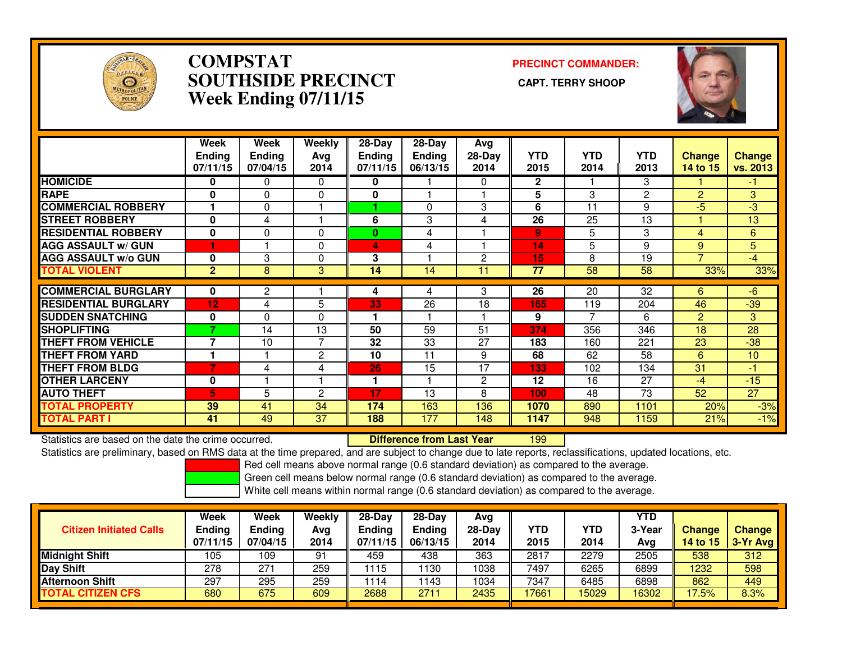

### **COMPSTAT PRECINCT COMMANDER: SOUTHSIDE PRECINCT CAPT. TERRY SHOOPWeek Ending 07/11/15**



|                             | Week<br><b>Ending</b><br>07/11/15 | Week<br><b>Ending</b><br>07/04/15 | Weekly<br>Avg<br>2014 | $28$ -Day<br><b>Ending</b><br>07/11/15 | 28-Dav<br>Ending<br>06/13/15 | Avg<br>$28-Day$<br>2014 | <b>YTD</b><br>2015 | <b>YTD</b><br>2014 | <b>YTD</b><br>2013 | <b>Change</b><br>14 to 15 | Change<br>vs. 2013 |
|-----------------------------|-----------------------------------|-----------------------------------|-----------------------|----------------------------------------|------------------------------|-------------------------|--------------------|--------------------|--------------------|---------------------------|--------------------|
| <b>HOMICIDE</b>             | 0                                 | 0                                 | 0                     | 0                                      |                              | 0                       | $\mathbf{2}$       |                    | 3                  |                           | -1.                |
| <b>RAPE</b>                 | $\bf{0}$                          | $\Omega$                          | $\Omega$              | 0                                      |                              |                         | 5                  | 3                  | 2                  | $\overline{2}$            | 3                  |
| <b>COMMERCIAL ROBBERY</b>   |                                   | $\Omega$                          |                       |                                        | 0                            | 3                       | 6                  | 11                 | 9                  | $-5$                      | $-3$               |
| <b>STREET ROBBERY</b>       | $\bf{0}$                          | 4                                 |                       | 6                                      | 3                            | 4                       | 26                 | 25                 | 13                 |                           | 13                 |
| <b>RESIDENTIAL ROBBERY</b>  | $\mathbf 0$                       | $\Omega$                          | $\Omega$              | 0                                      | 4                            |                         | $\overline{9}$     | 5                  | 3                  | 4                         | 6                  |
| <b>AGG ASSAULT w/ GUN</b>   | 1                                 |                                   | $\Omega$              | 4                                      | 4                            |                         | 14                 | 5                  | 9                  | 9                         | 5                  |
| <b>AGG ASSAULT w/o GUN</b>  | $\bf{0}$                          | 3                                 | $\Omega$              | 3                                      |                              | 2                       | 15                 | 8                  | 19                 |                           | $-4$               |
| <b>TOTAL VIOLENT</b>        | $\overline{2}$                    | 8                                 | 3                     | 14                                     | 14                           | 11                      | 77                 | 58                 | 58                 | 33%                       | 33%                |
| <b>COMMERCIAL BURGLARY</b>  | 0                                 | 2                                 |                       | 4                                      | 4                            | 3                       | 26                 | 20                 | 32                 | 6                         | $-6$               |
|                             |                                   |                                   |                       |                                        |                              | 18                      |                    |                    |                    |                           |                    |
| <b>RESIDENTIAL BURGLARY</b> | 12                                | 4                                 | 5                     | 33                                     | 26                           |                         | 165                | 119                | 204                | 46                        | $-39$              |
| <b>SUDDEN SNATCHING</b>     | 0                                 | $\Omega$                          | $\Omega$              | 1                                      |                              |                         | 9                  |                    | 6                  | $\overline{2}$            | 3                  |
| <b>SHOPLIFTING</b>          |                                   | 14                                | 13                    | 50                                     | 59                           | 51                      | 374                | 356                | 346                | 18                        | 28                 |
| <b>THEFT FROM VEHICLE</b>   | $\overline{\phantom{a}}$          | 10                                | 7                     | 32                                     | 33                           | 27                      | 183                | 160                | 221                | 23                        | $-38$              |
| <b>THEFT FROM YARD</b>      |                                   |                                   | 2                     | 10                                     | 11                           | 9                       | 68                 | 62                 | 58                 | 6                         | 10                 |
| <b>THEFT FROM BLDG</b>      | 7                                 | 4                                 | 4                     | 26                                     | 15                           | 17                      | 133                | 102                | 134                | 31                        | -1                 |
| <b>OTHER LARCENY</b>        | 0                                 |                                   |                       | 1                                      |                              | 2                       | 12                 | 16                 | 27                 | $-4$                      | $-15$              |
| <b>AUTO THEFT</b>           | 5                                 | 5                                 | 2                     | 17                                     | 13                           | 8                       | 100                | 48                 | 73                 | 52                        | 27                 |
| <b>TOTAL PROPERTY</b>       | 39                                | 41                                | 34                    | 174                                    | 163                          | 136                     | 1070               | 890                | 1101               | 20%                       | $-3%$              |
| <b>TOTAL PART I</b>         | 41                                | 49                                | 37                    | 188                                    | 177                          | 148                     | 1147               | 948                | 1159               | 21%                       | $-1%$              |

Statistics are based on the date the crime occurred. **Difference from Last Year** 

<sup>199</sup>

Statistics are preliminary, based on RMS data at the time prepared, and are subject to change due to late reports, reclassifications, updated locations, etc.

Red cell means above normal range (0.6 standard deviation) as compared to the average.

Green cell means below normal range (0.6 standard deviation) as compared to the average.

| <b>Citizen Initiated Calls</b> | Week<br><b>Ending</b><br>07/11/15 | Week<br>Ending<br>07/04/15 | Weekly<br>Avg<br>2014 | $28-Dav$<br><b>Ending</b><br>07/11/15 | $28 - Day$<br><b>Ending</b><br>06/13/15 | Ava<br>28-Dav<br>2014 | YTD<br>2015 | YTD<br>2014 | <b>YTD</b><br>3-Year<br>Avg | <b>Change</b><br>14 to 15 | <b>Change</b><br>$3-Yr$ Avg |
|--------------------------------|-----------------------------------|----------------------------|-----------------------|---------------------------------------|-----------------------------------------|-----------------------|-------------|-------------|-----------------------------|---------------------------|-----------------------------|
| <b>Midnight Shift</b>          | 105                               | 109                        | 91                    | 459                                   | 438                                     | 363                   | 2817        | 2279        | 2505                        | 538                       | 312                         |
| Day Shift                      | 278                               | 271                        | 259                   | 1115                                  | 130                                     | 1038                  | 7497        | 6265        | 6899                        | 1232                      | 598                         |
| <b>Afternoon Shift</b>         | 297                               | 295                        | 259                   | 1114                                  | 143                                     | 1034                  | 7347        | 6485        | 6898                        | 862                       | 449                         |
| <b>TOTAL CITIZEN CFS</b>       | 680                               | 675                        | 609                   | 2688                                  | 271                                     | 2435                  | 17661       | 5029        | 16302                       | 17.5%                     | 8.3%                        |